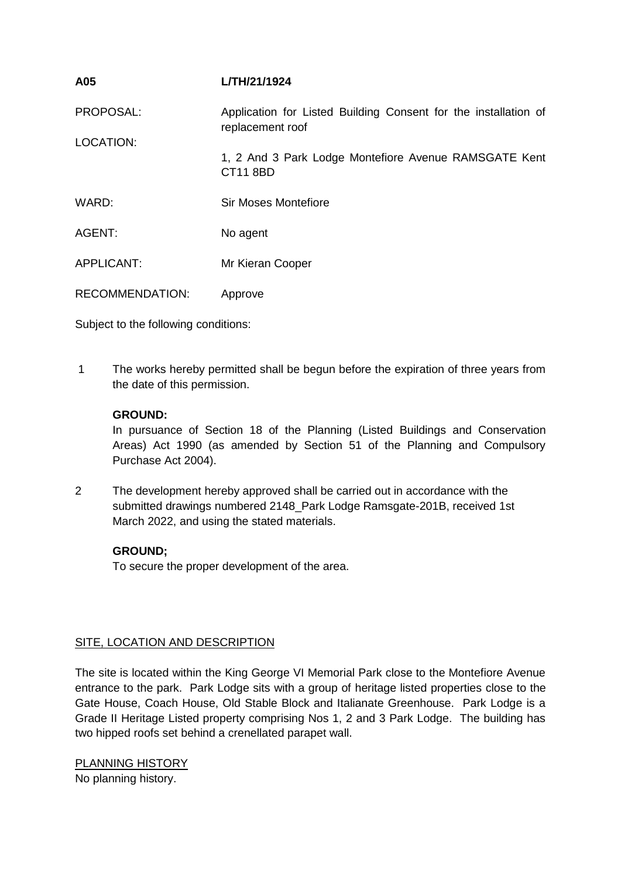| A05                    | L/TH/21/1924                                                                        |
|------------------------|-------------------------------------------------------------------------------------|
| PROPOSAL:              | Application for Listed Building Consent for the installation of<br>replacement roof |
| LOCATION:              | 1, 2 And 3 Park Lodge Montefiore Avenue RAMSGATE Kent<br><b>CT11 8BD</b>            |
| WARD:                  | Sir Moses Montefiore                                                                |
| AGENT:                 | No agent                                                                            |
| APPLICANT:             | Mr Kieran Cooper                                                                    |
| <b>RECOMMENDATION:</b> | Approve                                                                             |
|                        |                                                                                     |

Subject to the following conditions:

1 The works hereby permitted shall be begun before the expiration of three years from the date of this permission.

# **GROUND:**

In pursuance of Section 18 of the Planning (Listed Buildings and Conservation Areas) Act 1990 (as amended by Section 51 of the Planning and Compulsory Purchase Act 2004).

2 The development hereby approved shall be carried out in accordance with the submitted drawings numbered 2148\_Park Lodge Ramsgate-201B, received 1st March 2022, and using the stated materials.

# **GROUND;**

To secure the proper development of the area.

### SITE, LOCATION AND DESCRIPTION

The site is located within the King George VI Memorial Park close to the Montefiore Avenue entrance to the park. Park Lodge sits with a group of heritage listed properties close to the Gate House, Coach House, Old Stable Block and Italianate Greenhouse. Park Lodge is a Grade II Heritage Listed property comprising Nos 1, 2 and 3 Park Lodge. The building has two hipped roofs set behind a crenellated parapet wall.

PLANNING HISTORY No planning history.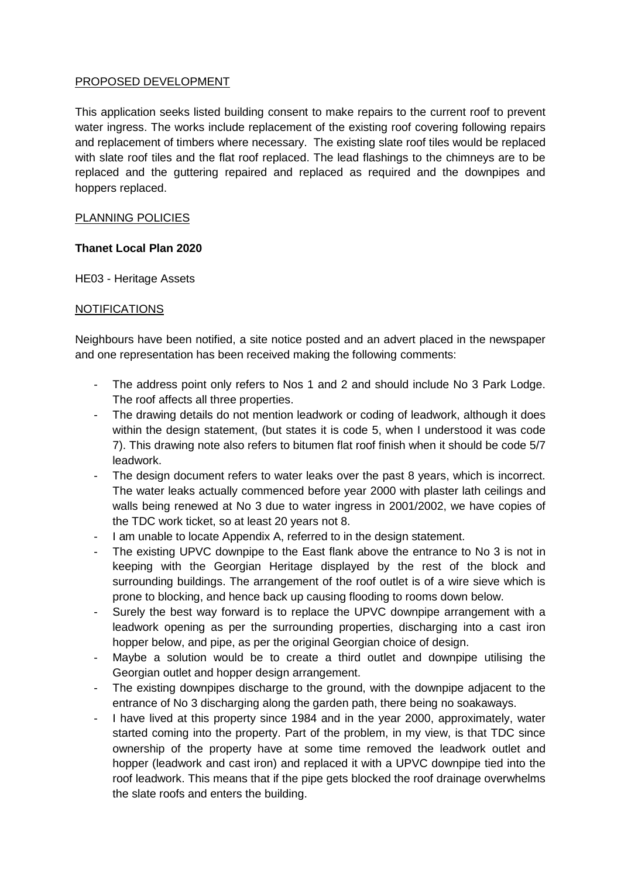## PROPOSED DEVELOPMENT

This application seeks listed building consent to make repairs to the current roof to prevent water ingress. The works include replacement of the existing roof covering following repairs and replacement of timbers where necessary. The existing slate roof tiles would be replaced with slate roof tiles and the flat roof replaced. The lead flashings to the chimneys are to be replaced and the guttering repaired and replaced as required and the downpipes and hoppers replaced.

## PLANNING POLICIES

## **Thanet Local Plan 2020**

HE03 - Heritage Assets

### NOTIFICATIONS

Neighbours have been notified, a site notice posted and an advert placed in the newspaper and one representation has been received making the following comments:

- The address point only refers to Nos 1 and 2 and should include No 3 Park Lodge. The roof affects all three properties.
- The drawing details do not mention leadwork or coding of leadwork, although it does within the design statement, (but states it is code 5, when I understood it was code 7). This drawing note also refers to bitumen flat roof finish when it should be code 5/7 leadwork.
- The design document refers to water leaks over the past 8 years, which is incorrect. The water leaks actually commenced before year 2000 with plaster lath ceilings and walls being renewed at No 3 due to water ingress in 2001/2002, we have copies of the TDC work ticket, so at least 20 years not 8.
- I am unable to locate Appendix A, referred to in the design statement.
- The existing UPVC downpipe to the East flank above the entrance to No 3 is not in keeping with the Georgian Heritage displayed by the rest of the block and surrounding buildings. The arrangement of the roof outlet is of a wire sieve which is prone to blocking, and hence back up causing flooding to rooms down below.
- Surely the best way forward is to replace the UPVC downpipe arrangement with a leadwork opening as per the surrounding properties, discharging into a cast iron hopper below, and pipe, as per the original Georgian choice of design.
- Maybe a solution would be to create a third outlet and downpipe utilising the Georgian outlet and hopper design arrangement.
- The existing downpipes discharge to the ground, with the downpipe adjacent to the entrance of No 3 discharging along the garden path, there being no soakaways.
- I have lived at this property since 1984 and in the year 2000, approximately, water started coming into the property. Part of the problem, in my view, is that TDC since ownership of the property have at some time removed the leadwork outlet and hopper (leadwork and cast iron) and replaced it with a UPVC downpipe tied into the roof leadwork. This means that if the pipe gets blocked the roof drainage overwhelms the slate roofs and enters the building.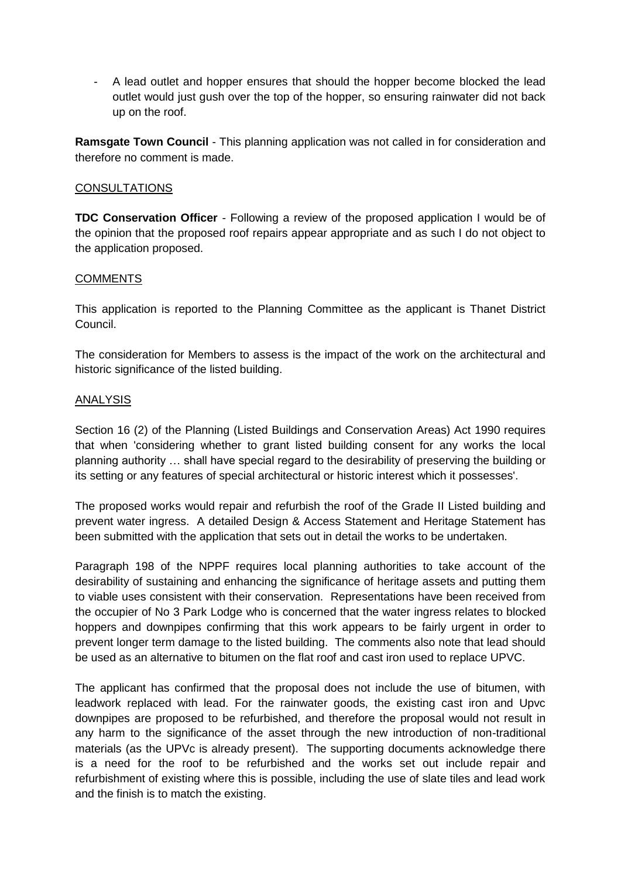- A lead outlet and hopper ensures that should the hopper become blocked the lead outlet would just gush over the top of the hopper, so ensuring rainwater did not back up on the roof.

**Ramsgate Town Council** - This planning application was not called in for consideration and therefore no comment is made.

#### **CONSULTATIONS**

**TDC Conservation Officer** - Following a review of the proposed application I would be of the opinion that the proposed roof repairs appear appropriate and as such I do not object to the application proposed.

#### **COMMENTS**

This application is reported to the Planning Committee as the applicant is Thanet District Council.

The consideration for Members to assess is the impact of the work on the architectural and historic significance of the listed building.

#### ANALYSIS

Section 16 (2) of the Planning (Listed Buildings and Conservation Areas) Act 1990 requires that when 'considering whether to grant listed building consent for any works the local planning authority … shall have special regard to the desirability of preserving the building or its setting or any features of special architectural or historic interest which it possesses'.

The proposed works would repair and refurbish the roof of the Grade II Listed building and prevent water ingress. A detailed Design & Access Statement and Heritage Statement has been submitted with the application that sets out in detail the works to be undertaken.

Paragraph 198 of the NPPF requires local planning authorities to take account of the desirability of sustaining and enhancing the significance of heritage assets and putting them to viable uses consistent with their conservation. Representations have been received from the occupier of No 3 Park Lodge who is concerned that the water ingress relates to blocked hoppers and downpipes confirming that this work appears to be fairly urgent in order to prevent longer term damage to the listed building. The comments also note that lead should be used as an alternative to bitumen on the flat roof and cast iron used to replace UPVC.

The applicant has confirmed that the proposal does not include the use of bitumen, with leadwork replaced with lead. For the rainwater goods, the existing cast iron and Upvc downpipes are proposed to be refurbished, and therefore the proposal would not result in any harm to the significance of the asset through the new introduction of non-traditional materials (as the UPVc is already present). The supporting documents acknowledge there is a need for the roof to be refurbished and the works set out include repair and refurbishment of existing where this is possible, including the use of slate tiles and lead work and the finish is to match the existing.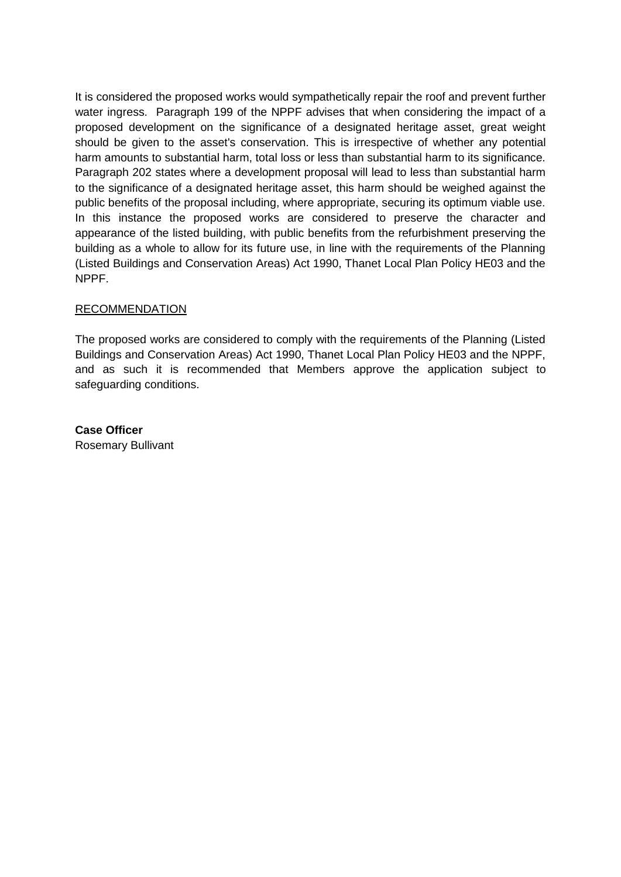It is considered the proposed works would sympathetically repair the roof and prevent further water ingress. Paragraph 199 of the NPPF advises that when considering the impact of a proposed development on the significance of a designated heritage asset, great weight should be given to the asset's conservation. This is irrespective of whether any potential harm amounts to substantial harm, total loss or less than substantial harm to its significance. Paragraph 202 states where a development proposal will lead to less than substantial harm to the significance of a designated heritage asset, this harm should be weighed against the public benefits of the proposal including, where appropriate, securing its optimum viable use. In this instance the proposed works are considered to preserve the character and appearance of the listed building, with public benefits from the refurbishment preserving the building as a whole to allow for its future use, in line with the requirements of the Planning (Listed Buildings and Conservation Areas) Act 1990, Thanet Local Plan Policy HE03 and the NPPF.

### **RECOMMENDATION**

The proposed works are considered to comply with the requirements of the Planning (Listed Buildings and Conservation Areas) Act 1990, Thanet Local Plan Policy HE03 and the NPPF, and as such it is recommended that Members approve the application subject to safeguarding conditions.

**Case Officer** Rosemary Bullivant